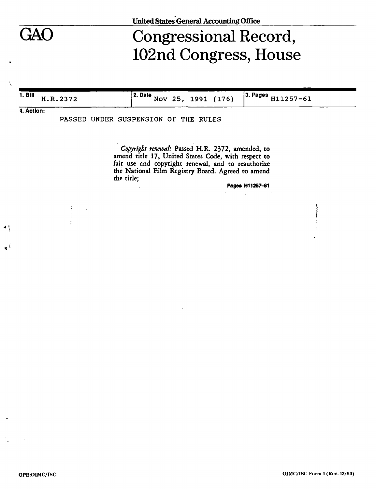

# Congressional Record, 102nd Congress, House

**1. Bill** H.R.2372 **2. Date** Nov 25 , 1991 (176) **3. Pages** H11257-61

**4. Action:** 

**«1** 

آ ڇ

PASSED UNDER SUSPENSION OF THE RULES

*Copyright renewal:* Passed H.R. 2372, amended, to amend title 17, United States Code, with respect to fair use and copyright renewal, and to reauthorize the National Film Registry Board. Agreed to amend the title;

Pages H11257-61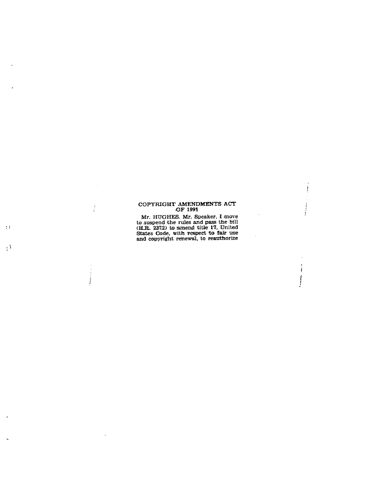## COPYRIGHT AMENDMENTS ACT O F 1991

 $\sim$ 

 $\hat{\mathbf{r}}$ 

 $\sim$  $\ddot{i}$ 

 $\begin{array}{c} \begin{array}{c} \begin{array}{c} \end{array} \\ \begin{array}{c} \end{array} \end{array} \end{array}$ 

 $\mathcal{L}$ 

J.

Mr . HUGHES . Mr . Speaker , I move t o suspen d th e rule s an d pas s th e bill (H.R. 2372) to amend title 17, United States Code, with respect to fair use an d copyrigh t renewal , t o reauthorize

 $\mathbb{R}^4$ 

 $\overline{\mathbf{1}}$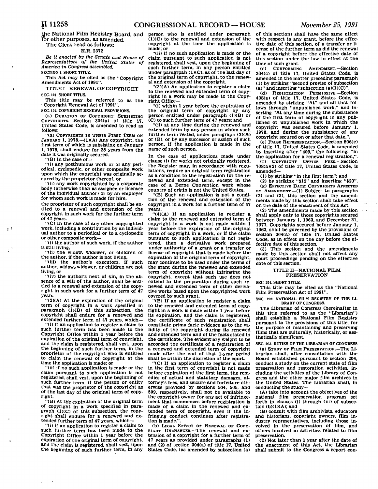e National Film Registry Board, and for other purposes, as amended. The Clerk read as follows:

### H.R. 2372

*Be it enacted by the Senate and House of Representatives of the United States of America in Congress assembled,* 

**SECTION 1. SHORT TITLE. This Act may be cited as the "Copyright** 

**Amendments Act of 1991". TITLE I—RENEWAL OP COPYRIGHT** 

**SEC. 101. SHORT TITLE.** 

**This title may be referred to as the "Copyright Renewal Act of 1991". SEC. 102. COPYRIGHT RENEWAL PROVISIONS.** 

**(a) DURATION OF COPYRIGHT: SUBSISTING**  COPYRIGHTS.—Section 304(a) of title **United States Code, is amended to read as follows:** 

**"(a) COPYRIGHTS IN THEIR FIRST TERM ON**  JANUARY 1, 1978.-(1)(A) Any copyright, the **first term of which is subsisting on January 1, 1978, shall endure for 28 years from the** 

**date it was originally secured. "(B) In the case of—** 

 $\pm$  1

**"(i) any posthumous work or of any periodical, cyclopedic, or other composite work upon which the copyright was originally secured by the proprietor thereof, or** 

**"(ii) any work copyrighted by a corporate body (otherwise than as assignee or licensee of the individual author) or by an employer for whom such work Is made for hire,** 

**the proprietor of such copyright shall be entited to a renewal and extension of the copyright in such work for the further term of 47 years.** 

**"(C) In the case of any other copyrighted work, Including a contribution by an individual author to a periodical or to a cyclopedic or other composite work—** 

**"(i) the author of such work, if the author is still living,** 

**"(ii) the widow, widower, or children of the author, if the author is not living,** 

**"(iii) the author's executors, if such**  author, widow, widower, or children are not **living, or** 

**"(iv) the author's next of kin, in the absence of a will of the author, shall be entitled to a renewal and extension of the copyright in such work for a further term of 47 years.** 

**"(2)(A) At the expiration of the original term of copyright in a work specified in paragraph (1)(B) of this subsection, the copyright shall endure for a renewed and extended further term of 47 years, which—** 

**"(i) if an application to register a claim to such further term has been made to the Copyright Office within 1 year before the expiration of the original term of copyright, and the claim is registered, shall vest, upon the beginning of such further term, in the proprietor of the copyright who is entitled to claim the renewal of copyright at the time the application is made; or** 

**"(ii) if no such application is made or the claim pursuant to such application is not registered, shall vest, upon the beginning of such further term, if the person or entity that was the proprietor of the copyright as of the last day of the original term of copyright.** 

**"(B) At the expiration of the original term of copyright in a work specified in paragraph (1)(C) of this subsection, the copyright shall endure for a renewed and extended further term of 47 years, which—** 

**"(i) if an application to register a claim to such further term has been made to the Copyright Office within 1 year before the expiration of the original term of copyright, and the claim is registered, shall vest, upon the beginning of such further term. In any** 

**person who is entitled under paragraph (1)(C) to the renewal and extension of the copyright at the time the application Is made; or** 

**"(ii) if no such application is made or the claim pursuant to such application is not registered, shall vest, upon the beginning of such further term, in any person entitled under paragrpah (1)(C), as of the last day of the original term of copyright, to the renewal and extension of the copyright.** 

**"(3)(A) An application to register a claim to the renewed and extended term of copyright in a work may be made to the Copyright Office—** 

**"(i) within 1 year before the expiration of the original term of copyright by any person entitled under paragraph (1KB) or (C) to such further term of 47 years; and** 

**"(ii) at any time during the renewed and extended term by any person in whom such further term vested, under paragraph (2)(A) or (B), or by any successor or assign of such person, if the application is made in the name of such person.** 

**In the case of applications made under clause (i) for works not originally registered, the Register may, in accordance with regulations, require an original term registration as a condition to the registration for the renewed and extended term, except in the case of a Berne Convention work whose country of origin is not the United States.** 

**"(B) Such an application is not a condition of the renewal and extension of the copyright in a work for a further term of 47 years.** 

**"(4)(A) If an application to register a claim to the renewed and extended term of copyright in a work is not made within 1 year before the expiration of the original term of copyright in a work, or if the claim pursuant to such application is not registered, then a derivative work prepared under authority of a grant or a transfer or license of copyright that is made before the expiration of the original term of copyright, may continue to be used under the terms of the grant during the renewed and extended term of copyright without Infringing the copyright, except that such use does not extend to the preparation during such renewed and extended term of other derivative works based upon the copyrighted work covered by such grant.** 

**"(B) If an application to register a claim to the renewed and extended term of copyright in a work is made within 1 year before its expiration, and the claim is registered, the certificate of such registration shall constitute prima facie evidence as to the validity of the copyright during its renewed and extended term and of the facts stated in the certificate. The evidentiary weight to be accorded the certificate of a registration of a renewed and extended term of copyright made after the end of that 1-year period shall be .within the discretion of the court.** 

**"(C) If an application to register a claim In the first term of copyright is not made before expiration of the first term, the remedies of actual and statutory damages, attorney's fees, and seizure and forfeiture otherwise provided by sections 504, 505, and 509, respectively, shall not be available to the copyright owner for any act of infringement that commences before registration is made of a claim in the renewed and extended term of copyright, even if the Infringing conduct continues after registration is made.".** 

**(b) LEGAL EFFECT or RENEWAL OF COPY-RIGHT UNCHANGED.—The renewal and extension of a copyright for a further term of 47 years as provided under paragraphs (1) and (2) of section 304(a) of title 17, United States Code, (as amended by subsection (a)**  **of this section) shall have the same effect with respect to any grant, before the effective date of this section, of a transfer or license of the further term as did the renewal of a copyright before the effective date of this section under the law in effect at the time of such grant.** 

**(c) CONFORMING AMENDMENT.—Section 304(c) of title 17. United States Code, is amended In the matter preceding paragraph (1) by striking "second proviso of subsection (a)" and Inserting "subsection (a)(1)(C)".** 

**(d) REGISTRATION PERMISSIVE.—Section 408(a) of title 17, United States Code, is amended by striking "At" and all that fol-lows through "unpublished work," and inserting "At any time during the subsistence of the first term of copyright in any published or unpublished work in which the copyright was secured before January 1, 1978, and during the subsistence of any copyright secured on or after that date,".** 

**(e) FALSE REPRESENTATION.—Section 506(e) of title 17, United States Code, is amended by inserting after "409," the following: "in the application for a renewal registration,".** 

**(f) COPYRIGHT OFFICE FEES.—Section 708(a)(2) of title 17, United States Code, is amended—** 

**(1) by striking "in the first term"; and** 

**(2) by striking "\$12" and inserting "\$20".** 

**(g) EFFECTIVE DATE: COPYRIGHTS AFFECTED BY AMENDMENT.—(1) Subject to paragraphs (2) and (3), this section and the amendments made by this section shall take effect on the date of the enactment of this Act.** 

**(2) The amendments made by this section shall apply only to those copyrights secured between January 1, 1963, and December 31, 1977. Copyrights secured before January 1, 1963, shall be governed by the provisions of section 304(a) of title 17. United States Code, as in effect on the day before the effective date of this section.** 

**(3) This section and the amendments made by this section shall not affect any court proceedings pending on the effective date of this section.** 

#### **TITLE II—NATIONAL FILM PRESERVATION**

**SEC. 201. SHORT TITLE.** 

**This title may be cited as the "National Film Preservation Act of 1991".** 

**SEC. 202. NATIONAL FILM REGISTRY OF THE LI-BRARY OF CONGRESS.** 

**The Librarian of Congress (hereinafter in this title referred to as the "Librarian") shall establish a National Film Registry pursuant to the provisions of this title, for the purpose of maintaining and preserving films that are culturally, historically, or aesthetically significant.** 

**SEC. 203. DUTIES OF THE LIBRARIAN OF CONGRESS (a) STUDY OF FILM PRESERVATION.—The Li-**

**brarian shall, after consultation with the Board established pursuant to section 204, conduct a study on the current state of film preservation and restoration activities, including the activities of the Library of Congress and the other major film archives in the United States. The Librarian shall, in conducting the study—** 

**(A) take into account the objectives of the national film preservation program set forth in clauses (i) through (iii) of subsection (b)(1)(A); and** 

**(B) consult with film archivists, educators and historians, copyright owners, film industry representatives, including those involved in the preservation of film, and others involved in activities related to film preservation.** 

**(2) Not later than 1 year after the date of the enactment of this Act, the Librarian shall submit to the Congress a report con-**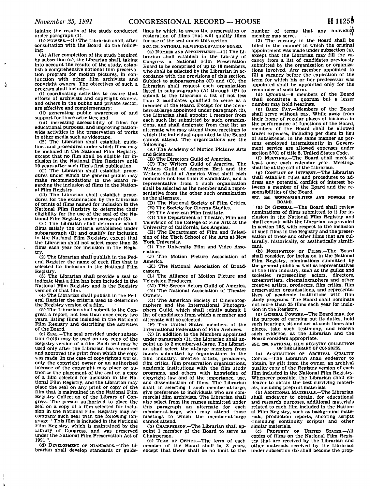$\Lambda$ 

**taining the results of the study conducted under paragraph (1).** 

**(b) POWERS.—(1) The Librarian shall, after consultation with the Board, do the following:** 

**(A) After completion of the study required by subsection (a), the Librarian shall, taking into account the results of the study, establish a comprehensive national film preservation program for motion pictures, in conjunction with other film archivists and copyright owners. The objectives of such a program shall include—** 

**(i) coordinating activities to assure that efforts of archivists and copyright owners, and others in the public and private sector, are effective and complementary;** 

**(ii) generating public awareness of and support for those activities; and** 

**(iii) increasing accessibility of films for educational purposes, and improving nationwide activities in the preservation of works in other media such as videotape.** 

**(B) The Librarian shall establish guidelines and procedures under which films may be included in the National Film Registry, except that no film shall be eligible for inclusion in the National Film Registry until 10 years after such film's first publication.** 

**(C) The Librarian shall establish procedures under which the general public may make recommendations to the Board re-garding the Inclusion of films in the National Film Registry.** 

**(D) The Librarian shall establish procedures for the examination by the Librarian of prints of films named for inclusion In the National Film Registry to determine their eligibility for the use of the seal of the National Film Registry under paragraph (3).** 

**(E) The Librarian shall determine which films satisfy the criteria established under subparagraph (B) and qualify for inclusion in the National Film Registry, except that the Librarian shall not select more than 25 films each year for inclusion in the Registry.** 

**(2) The Librarian shall publish In the Federal Register the name of each film that is selected for inclusion in the National Film Registry.** 

**(3) The Librarian shall provide a seal to Indicate that a film has been included in the National Film Registry and is the Registry version of that film.** 

**(4) The Librarian shall publish In the Federal Register the criteria used to determine the Registry version of a film.** 

**(5) The Librarian shall submit to the Congress a report, not less than once every two years, listing films included in the National Film Registry and describing the activities of the Board.** 

**(c) SEAL.—The seal provided under subsection (b)(3) may be used on any copy of the Registry version of a film. Such seal may be used only after the Librarian has examined and approved the print from which the copy was made. In the case cf copyrighted works, only the copyright owner or an authorized licensee of the copyright may place or authorize the placement of the seal on a copy**  of a film selected for inclusion in the Na**tional Film Registry, and the Librarian may place the seal on any print or copy of the film that is maintained in the National Film Registry Collection of the Library of Congress. The person authorized to place the seal on a copy of a film selected for inclusion in the National Film Registry may accompany such seal with the following language: "This film is included In the National Film Registry, which is maintained by the Library of Congress, and was preserved under the National Film Preservation Act of**  1991.

**(d) DEVELOPMENT OP STANDARDS.—The Librarian shall develop standards or guide-** **lines by which to assess the preservation or restoration of films that will qualify films for use of the seal under this section.**  SEC. 204. NATIONAL FILM PRESERVATION BOARD.

**(a) NUMBER AND APPOINTMENT.—(1) The Librarian shall establish in the Library of Congress a National Film Preservation Board to be comprised of up to 18 members,**  who shall be selected by the Librarian in ac**cordance with the provisions of this section. Subject to subparagraphs (C) and (O), the Librarian shall request each organization listed in subparagraphs (A) through (P) to submit to the Librarian a list of not less than 3 candidates qualified to serve as a member of the Board. Except for the members-at-large appointed under paragraph (2), the Librarian shall appoint 1 member from each such list submitted by such organizations, and shall designate from that list an alternate who may attend those meetings to which the individual appointed to the Board cannot attend. The organizations are the following:** 

**(A) The Academy of Motion Pictures Arts and Sciences.** 

**(B) The Directors Guild of America.** 

**(C) The Writers Guild of America. The Writers Guild of America East and the Writers Guild of America West shall each nominate not less than 3 candidates, and a representative from 1 such organization shall be selected as the member and a representative from the other such organization as the alternate.** 

**(D) The National Society of Film Critics.** 

**(E) The Society for Cinema Studies.** 

**(F) The American Film Institute.** 

**(G) The Department of Theatre, Film and Television of the College of Fine Arts at the University of California, Los Angeles.** 

**(H) The Department of Film and Television of the Tisch School of the Arts at New York University.** 

**(1) The University Film and Video Association.** 

**(J) The Motion Picture Association of America.** 

**(K) The National Association of Broadcasters.** 

**(L) The Alliance of Motion Picture and Television Producers.** 

**(M) THe Screen Actors Guild of America. (N) The National Association of Theater Owners.** 

**(O) The American Society of Cinematographers and the International Photographers Guild, which shall jointly submit 1 list of candidates from which a member and alternate will be selected.** 

**(P) The United States members of the International Federation of Film Archives.** 

**(2) In addition to the Members appointed under paragraph (1), the Librarian shall appoint up to 2 members-at-large. The Librarian shall select the at-large members from names submitted by organizations in the film industry, creative artists, producers, film critics, film preservation organizations, academic Institutions with the film study programs, and others with knowledge of copyright law and of the importance, use, and dissemination of films. The Librarian shall, in selecting 1 such member-at-large, give preference to individuals who are commercial film archivists. The Librarian shall also select from the names submitted under this paragraph an alternate for each member-at-large, who may attend those meetings to which the member-at-large cannot attend.** 

**(b) CHAIRPERSON.—The Librarian shall appoint 1 member of the Board to serve as Chairperson.** 

**(c) TERM OF OFFICE.—The term of each member of the Board shall be 3 years, except that there shall be no limit to the** 

**number of terms that any individual member may serve.** 

**(2) The vacancy in the Board shall be filled in the manner in which the original appointment was made under subsection (a), except that the Librarian may fill the vacancy from a list of candidates previously submitted by the organization or organizations involved. Any member appointed to fill a vacancy before the expiration of the term for which his or her predecessor was appointed shall be appointed only for the remainder of such term.** 

**(d) QUORUM.—9 members of the Board shall constitute a quorum but a lesser number may hold hearings.** 

**(e) BASIC PAY.—Members of the Board shall serve without pay. While away from their home of regular places of business in the performance of functions of the Board, members of the Board shall be allowed travel expenses, including per diem in lieu of subsistence, in the same manner as per**sons employed intermittently in Govern**ment service are allowed expenses under section 5701 of title 5, United States Code.** 

**(f) MEETINGS.—The Board shall meet at least once each calendar year. Meetings shall be at the call of the Librarian.** 

**(g) CONFLICT OF INTEREST.—The Librarian shall establish rules and procedures to address any potential conflict of Interest between a member of the Board and the responsibilities of the Board.** 

SEC. 205. RESPONSIBILITIES **AND** POWERS OF BOARD.

**(a) IN GENERAL.—The Board shall review nominations of films submitted to it for inclusion In the National Film Registry and shall consult with the Librarian, as provided In section 203, with respect to the Inclusion of such films In the Registry and the preservation of these and other films that are culturally, historically, or aesthetically significant.** 

**(b) NOMINATION OF FILMS.—The Board shall consider, for inclusion in the National Film Registry, nominations submitted by the general public as well as representatives of the film industry, such as the guilds and societies representing actors, directors, screenwriters, cinematographers and other creative artists, producers, film critics, film preservation organizations, and representatives of academic Institutions with film study programs. The Board shall nominate not more than 25 films each year for inclusion in the Registry.** 

**(c) GENERAL POWERS.—The Board may, for the purpose of carrying out its duties, hold such hearings, sit and act at such times and places, take such testimony, and receive such evidence, as the Librarian and the Board considers appropriate.** 

SEC. 206. NATIONAL FILM REGISTRY COLLECTION OF THE LIBRARY OF CONGRESS.

**(a) ACQUISITION OF ARCHIVAL QUALITY COPIES.—The Librarian shall endeavor to obtain, by gift from the owner, an archival quality copy of the Registry version of each film included in the National Film Registry. Whenever possible, the Librarian shall endeavor to obtain the best surviving materials. Including preprint materials.** 

**(b) ADDITIONAL MATERIALS.—The Librarian shall endeavor to obtain, for educational and research purposes, additional materials related to each film included in the National Film Registry, such as background materials, production reports, shooting scripts (including continuity scripts) and other similar materials.** 

**(c) PROPERTY OF UNITED STATES.—All copies of films on the National Film Registry that are received by the Librarian and other materials received by the Librarian under subsection (b) shall become the prop-**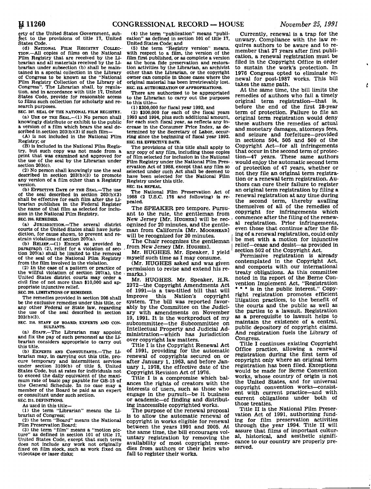Ł

erty of the United States Government, subject to the provisions of title 17, United States Code.

(d) NATIONAL FILM REGISTRY COLLEC-TION.—All copies of films on the National Film Registry that are received by the Librarian and all materials received by the Librarian under subsection (b) shall be maintained in a special collection in the Library of Congress to be known as the "National Film Registry Collection of the Library of Congress". The Librarian shall, by regulation, and in accordance with title 17, United States Code, provide for reasonable access to films such collection for scholarly and research purposes.

**SEC. 207. SEAL OF THE NATIONAL FILM REGISTRY.**  (a) USE OP THE SEAL.—(1) No person shall knowingly distribute or exhibit to the public a version of a film which bears the seal described in section  $203(b)(3)$  if such film-

(A) is not included in the National Film Registry; or

(B) is included in the National Film Registry, but such copy was not made from a print that was examined and approved for the use of the seal by the Librarian under section 203(c).

(2) No person shall knowingly use the seal described in section 203(b)(3) to promote any version of a film other than a Registry version.

(b) EFFECTIVE DATE OF THE SEAL.—The use of the seal described in section 203(b)(3) shall be effective for each film after the Librarian publishes in the Federal Register the name of that film as selected for inclusion in the National Film Registry.

**SEC. 208. REMEDIES.** 

(a) JURISDICTION.—The several district courts of the United States shall have jurisdiction, for cause shown, to prevent and restrain violations of section 207(a).

(b) RELIEF.—(1) Except as provided in paragraph (2), relief for a violation of section 207(a) shall be limited to the removal of the seal of the National Film Registry from the film involved in the violation.

(2) In the case of a pattern or practice of the willful violation of section 207(a), the United States district courts may order a civil fine of not more than \$10,000 and appropriate injunctive relief.

**SEC. 209. LIMITATIONS OF REMEDIES.** 

The remedies provided in section 208 shall be the exclusive remedies under this title, or any other Federal or State law, regarding the use of the seal described in section 203(b)(3).

**SEC. 210. STAFF OF BOARD; EXPERTS AND CON-SULTANTS.** 

(a) STAFF.—The Librarian may appoint and fix the pay of such personnel as the Librarian considers appropriate to carry out this title.

(b) EXPERTS AND CONSULTANTS.—The Librarian may, in carrying out this title, pro-cure temporary and intermittent services under section 3109(b) of title 5, United States Code, but at rates for individuals not to exceed the daily equivalent of the maximum rate of basic pay payable for GS-15 of the General Schedule. In no case may a member of the Board be paid as an expert or consultant under such section.

**SEC. 211. DEFINITIONS.** 

As used in this title-CD the term "Librarian" means the Li-

brarian of Congress;

(2) the term "Board" means the National Film Preservation Board; (3) the term "film" means a "motion pic-

ture" as defined in section 101 of title 17, United States Code, except that such term does not include any work not originally fixed on film stock, such as work fixed on videotape or laser disks;

(4) the term "publication" means "publi-cation" as defined in section 101 of title 17, United States Code; and

(5) the term "Registry version" means, with respect to a film, the version of the film first published, or as complete a version as the bona fide preservation and restoration activities by the Librarian, an archivist other than the Librarian, or the copyright owner can compile in those cases where the original material has been Irretrievably lost. **SEC. 212. AUTHORIZATION OF APPROPRIATIONS.** 

There are authorized to be appropriated to the Librarian to carry out the purposes to this title—

(1) \$300,000 for fiscal year 1992, and

(2) \$300,000 for each of the fiscal years 1993 and 1994, plus such additional amount, for each such fiscal year, as reflects any increase in the Consumer Price Index, as determined by the Secretary of Labor, occurring since the beginning of fiscal year 1992. **SEC. 213. EFFECTIVE DATE.** 

The provisions of this title shall apply to any copy of any film, including those copies of film selected for inclusion in the National Film Registry under the National Film Preservation Act of 1988, except that any film so selected under such Act shall be deemed to have been selected for the National Film Registry under this title.

**SEC. 214. REPEAL.** 

The National Film Preservation Act of 1988 (2 U.S.C. 178 and following) is repealed.

The SPEAKER pro tempore. Pursuant to the rule, the gentleman from New Jersey [Mr. HUGHES] will be recognized for 20 minutes, and the gentleman from California [Mr. MOORHEAD] will be recognized for 20 minutes.

The Chair recognizes the gentleman from New Jersey [Mr. HUGHES].

Mr. HUGHES. Mr. Speaker, I yield myself such time as I may consume.

(Mr. HUGHES asked and was given permission to revise and extend his remarks.)

Mr. HUGHES. Mr. Speaker, H.R. 2372—the Copyright Amendments Act of 1991—is a two-titled bill that will<br>improve this Nation's copyright improve this system. The bill was reported favorably by the Committee on the Judiciary with amendments on November 19, 1991. It is the workproduct of my subcommittee—the Subcommittee on Intellectual Property and Judicial Administration—which has jurisdiction over copyright law matters.

Title I is the Copyright Renewal Act of 1991, providing for the automatic renewal of copyrights secured on or after January 1, 1963, and before January 1, 1978, the effective date of the Copyright Revision Act of 1976.

Title I is a compromise which balances the rights of creators with the interests of users, such as those who engage in the pursuit—be it business or academic—of finding and distributing inaccessible copyrighted works.

The purpose of the renewal proposal is to allow the automatic renewal of copyright in works eligible for renewal between the years 1991 and 2005. At the same time, the bill encourages voluntary registration by removing the availability of most copyright remedies from authors or their heirs who fail to register their works.

Currently, renewal is a trap for the unwary. Compliance with the law requires authors to be aware and to remember that 27 years after first publication, a renewal registration must be filed in the Copyright Office in order to sustain the work's protection. In 1976 Congress opted to eliminate renewal for post-1987 works. This bill takes the same path.

At the same time, the bill limits the remedies of authors who fail a timely original term registration—that is, before the end of the first 28-year term of protection. Failure to file an original term registration would deny these authors the remedies of actual and monetary damages, attorneys fees, and seizure and forfeiture—provided in sections 504, 505 and 509 of the Copyright Act—for all infringements that occur in the second term of protection—47 years. These same authors would enjoy the automatic second term of protection of 47 years, whether or not they file an original term registration or a renewal term registration. Authors can cure their failure to register an original term registration by filing a an original term registration by Thing a renewal registration at any time during the second term, thereby availing<br>themselves of all of the nemadies of themselves of all of the remedies of copyright for infringements which commence after the filing of the renewal registration. Prior infringements, even those that continue after the filing of a renewal registration, could only be met with a motion for injunctive relief-cease and desist-as provided in section 502 of the Copyright Act.

Permissive registration is already contemplated in the Copyright Act, and comports with our international treaty obligations. As this committee noted in its report of the Berne Convention Implement Act, "Registration  $\cdots$  is in the public interest." Copyright registration promotes efficient litigation practices, to the benefit of the courts and the public as well as the parties to a lawsuit. Registration as a prerequisite to lawsuit helps to maintain the existence of a central, public depository of copyright claims. And registration fuels the Library of Congress.

Title I continues existing Copyright Office practice, allowing a renewal registration during the first term of copyright only where an original term registration has been filed. Exceptions would be made for Berne Convention works, whose country of origin is not the United States, and for universal copyright convention works—consistent with current practice—and with current obligations under both of those treaties.

Title II is the National Film Preservation Act of 1991, authorizing funding for film preservation activities through the year 1994. Title II will assure that films of important cultural, historical, and aesthetic significance to our country are properly preserved.